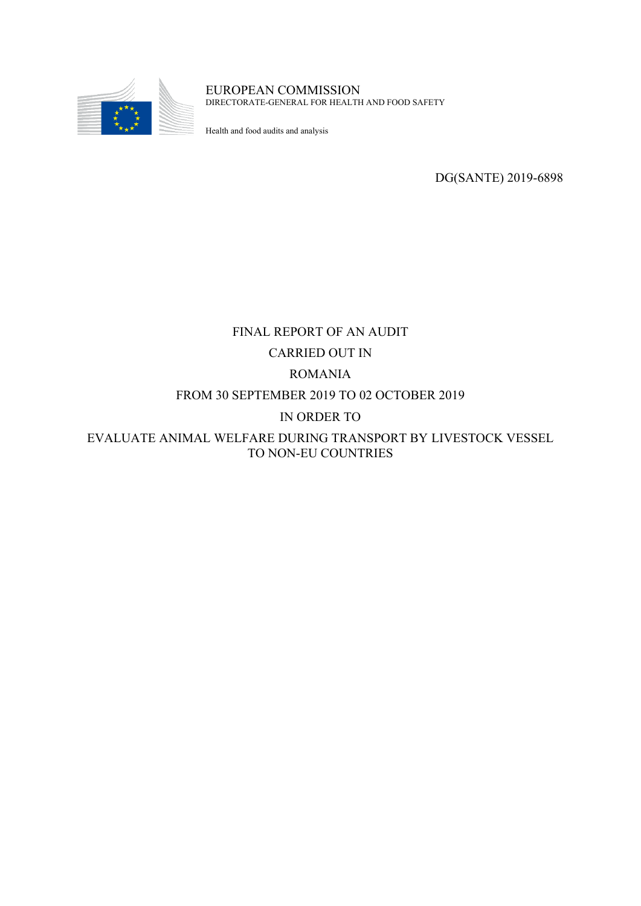

EUROPEAN COMMISSION DIRECTORATE-GENERAL FOR HEALTH AND FOOD SAFETY

Health and food audits and analysis

DG(SANTE) 2019-6898

# FINAL REPORT OF AN AUDIT CARRIED OUT IN ROMANIA FROM 30 SEPTEMBER 2019 TO 02 OCTOBER 2019 IN ORDER TO EVALUATE ANIMAL WELFARE DURING TRANSPORT BY LIVESTOCK VESSEL TO NON-EU COUNTRIES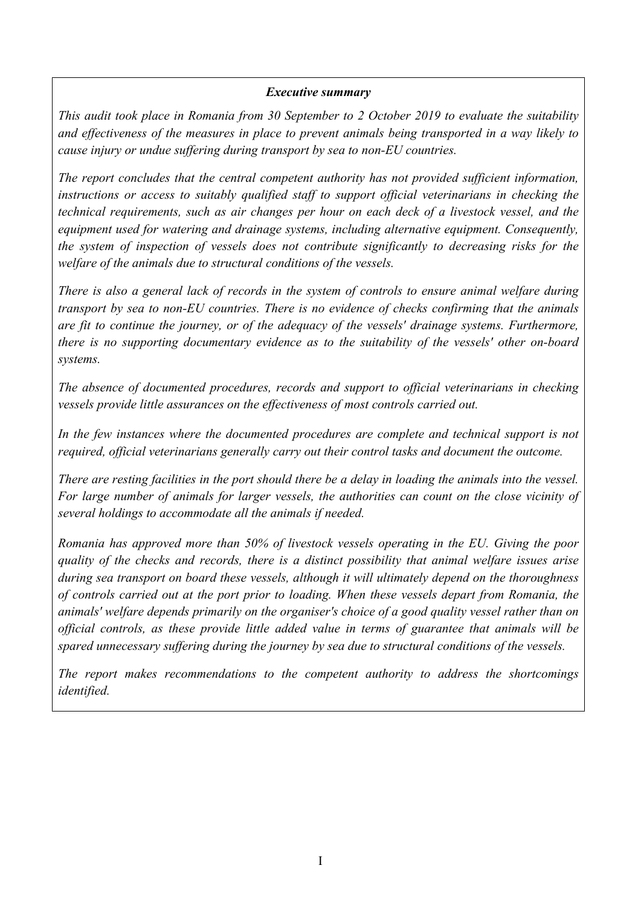#### *Executive summary*

*This audit took place in Romania from 30 September to 2 October 2019 to evaluate the suitability and effectiveness of the measures in place to prevent animals being transported in a way likely to cause injury or undue suffering during transport by sea to non-EU countries.*

*The report concludes that the central competent authority has not provided sufficient information, instructions or access to suitably qualified staff to support official veterinarians in checking the technical requirements, such as air changes per hour on each deck of a livestock vessel, and the equipment used for watering and drainage systems, including alternative equipment. Consequently, the system of inspection of vessels does not contribute significantly to decreasing risks for the welfare of the animals due to structural conditions of the vessels.*

*There is also a general lack of records in the system of controls to ensure animal welfare during transport by sea to non-EU countries. There is no evidence of checks confirming that the animals are fit to continue the journey, or of the adequacy of the vessels' drainage systems. Furthermore, there is no supporting documentary evidence as to the suitability of the vessels' other on-board systems.*

*The absence of documented procedures, records and support to official veterinarians in checking vessels provide little assurances on the effectiveness of most controls carried out.*

*In the few instances where the documented procedures are complete and technical support is not required, official veterinarians generally carry out their control tasks and document the outcome.*

There are resting facilities in the port should there be a delay in loading the animals into the vessel. *For large number of animals for larger vessels, the authorities can count on the close vicinity of several holdings to accommodate all the animals if needed.*

*Romania has approved more than 50% of livestock vessels operating in the EU. Giving the poor quality of the checks and records, there is a distinct possibility that animal welfare issues arise during sea transport on board these vessels, although it will ultimately depend on the thoroughness of controls carried out at the port prior to loading. When these vessels depart from Romania, the animals' welfare depends primarily on the organiser's choice of a good quality vessel rather than on official controls, as these provide little added value in terms of guarantee that animals will be spared unnecessary suffering during the journey by sea due to structural conditions of the vessels.*

*The report makes recommendations to the competent authority to address the shortcomings identified.*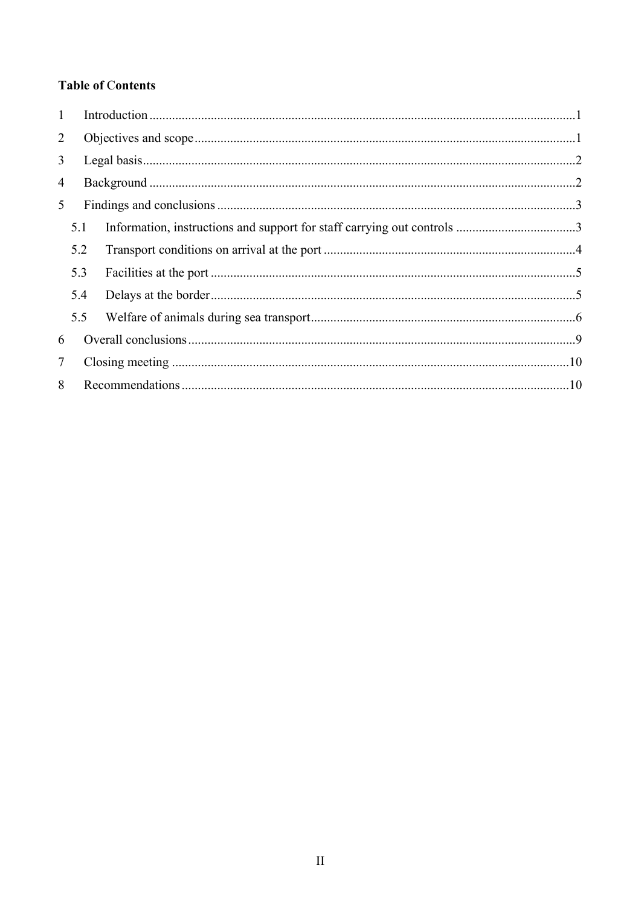# **Table of Contents**

| $\mathbf{1}$   |     |  |  |  |  |  |
|----------------|-----|--|--|--|--|--|
| $\overline{2}$ |     |  |  |  |  |  |
| 3              |     |  |  |  |  |  |
| 4              |     |  |  |  |  |  |
| 5              |     |  |  |  |  |  |
|                | 5.1 |  |  |  |  |  |
|                | 5.2 |  |  |  |  |  |
|                | 5.3 |  |  |  |  |  |
|                | 5.4 |  |  |  |  |  |
|                | 5.5 |  |  |  |  |  |
| 6              |     |  |  |  |  |  |
| $\tau$         |     |  |  |  |  |  |
| 8              |     |  |  |  |  |  |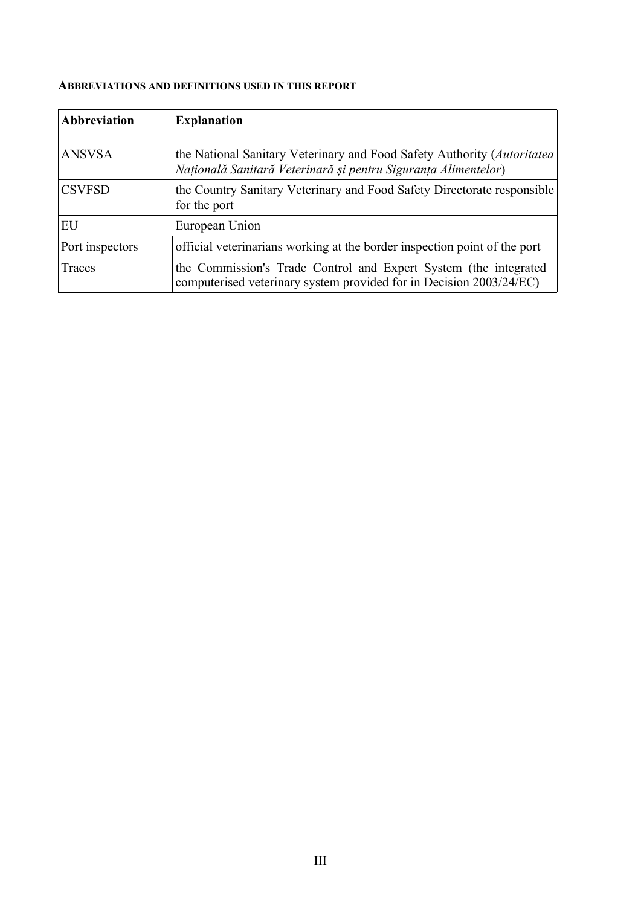#### **ABBREVIATIONS AND DEFINITIONS USED IN THIS REPORT**

| Abbreviation    | <b>Explanation</b>                                                                                                                         |
|-----------------|--------------------------------------------------------------------------------------------------------------------------------------------|
| <b>ANSVSA</b>   | the National Sanitary Veterinary and Food Safety Authority (Autoritatea)<br>Națională Sanitară Veterinară și pentru Siguranța Alimentelor) |
| <b>CSVFSD</b>   | the Country Sanitary Veterinary and Food Safety Directorate responsible<br>for the port                                                    |
| EU              | European Union                                                                                                                             |
| Port inspectors | official veterinarians working at the border inspection point of the port                                                                  |
| Traces          | the Commission's Trade Control and Expert System (the integrated<br>computerised veterinary system provided for in Decision 2003/24/EC)    |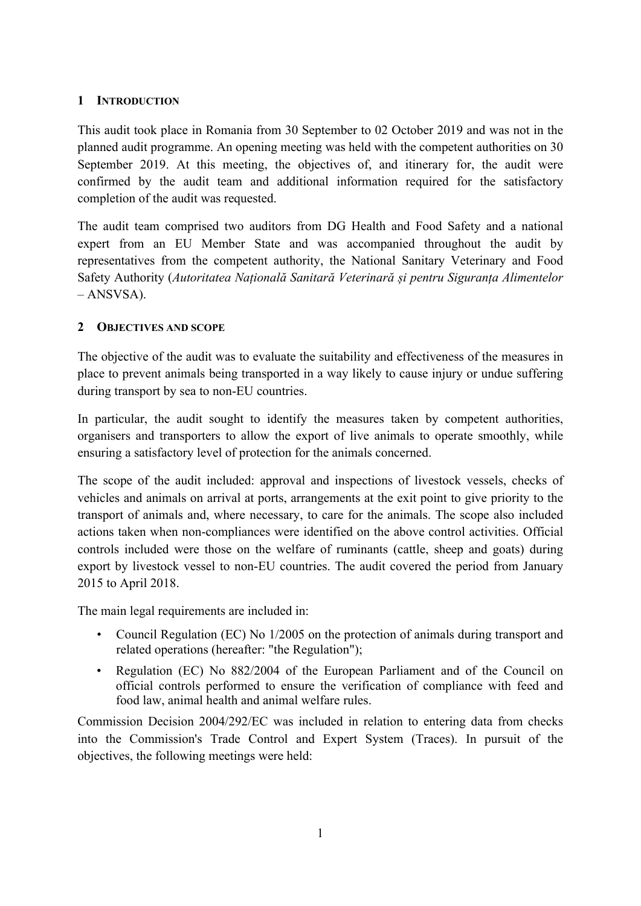#### <span id="page-4-0"></span>**1 INTRODUCTION**

This audit took place in Romania from 30 September to 02 October 2019 and was not in the planned audit programme. An opening meeting was held with the competent authorities on 30 September 2019. At this meeting, the objectives of, and itinerary for, the audit were confirmed by the audit team and additional information required for the satisfactory completion of the audit was requested.

The audit team comprised two auditors from DG Health and Food Safety and a national expert from an EU Member State and was accompanied throughout the audit by representatives from the competent authority, the National Sanitary Veterinary and Food Safety Authority (*Autoritatea Națională Sanitară Veterinară și pentru Siguranța Alimentelor* – ANSVSA).

## <span id="page-4-1"></span>**2 OBJECTIVES AND SCOPE**

The objective of the audit was to evaluate the suitability and effectiveness of the measures in place to prevent animals being transported in a way likely to cause injury or undue suffering during transport by sea to non-EU countries.

In particular, the audit sought to identify the measures taken by competent authorities, organisers and transporters to allow the export of live animals to operate smoothly, while ensuring a satisfactory level of protection for the animals concerned.

The scope of the audit included: approval and inspections of livestock vessels, checks of vehicles and animals on arrival at ports, arrangements at the exit point to give priority to the transport of animals and, where necessary, to care for the animals. The scope also included actions taken when non-compliances were identified on the above control activities. Official controls included were those on the welfare of ruminants (cattle, sheep and goats) during export by livestock vessel to non-EU countries. The audit covered the period from January 2015 to April 2018.

The main legal requirements are included in:

- Council Regulation (EC) No 1/2005 on the protection of animals during transport and related operations (hereafter: "the Regulation");
- Regulation (EC) No 882/2004 of the European Parliament and of the Council on official controls performed to ensure the verification of compliance with feed and food law, animal health and animal welfare rules.

Commission Decision 2004/292/EC was included in relation to entering data from checks into the Commission's Trade Control and Expert System (Traces). In pursuit of the objectives, the following meetings were held: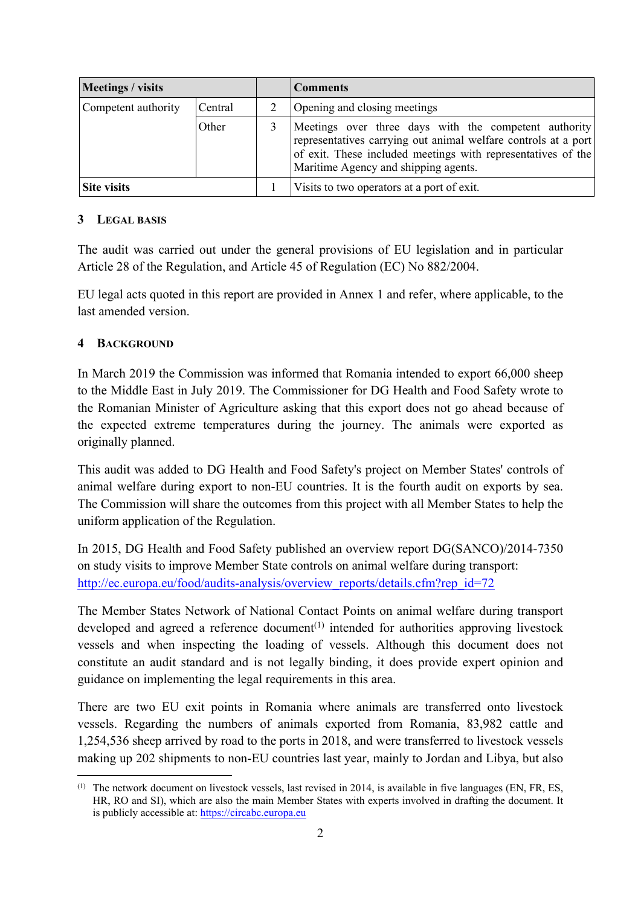| Meetings / visits              |       |  | <b>Comments</b>                                                                                                                                                                                                                 |
|--------------------------------|-------|--|---------------------------------------------------------------------------------------------------------------------------------------------------------------------------------------------------------------------------------|
| Competent authority<br>Central |       |  | Opening and closing meetings                                                                                                                                                                                                    |
|                                | Other |  | Meetings over three days with the competent authority<br>representatives carrying out animal welfare controls at a port<br>of exit. These included meetings with representatives of the<br>Maritime Agency and shipping agents. |
| Site visits                    |       |  | Visits to two operators at a port of exit.                                                                                                                                                                                      |

#### <span id="page-5-0"></span>**3 LEGAL BASIS**

The audit was carried out under the general provisions of EU legislation and in particular Article 28 of the Regulation, and Article 45 of Regulation (EC) No 882/2004.

EU legal acts quoted in this report are provided in Annex 1 and refer, where applicable, to the last amended version.

#### <span id="page-5-1"></span>**4 BACKGROUND**

In March 2019 the Commission was informed that Romania intended to export 66,000 sheep to the Middle East in July 2019. The Commissioner for DG Health and Food Safety wrote to the Romanian Minister of Agriculture asking that this export does not go ahead because of the expected extreme temperatures during the journey. The animals were exported as originally planned.

This audit was added to DG Health and Food Safety's project on Member States' controls of animal welfare during export to non-EU countries. It is the fourth audit on exports by sea. The Commission will share the outcomes from this project with all Member States to help the uniform application of the Regulation.

In 2015, DG Health and Food Safety published an overview report DG(SANCO)/2014-7350 on study visits to improve Member State controls on animal welfare during transport: [http://ec.europa.eu/food/audits-analysis/overview\\_reports/details.cfm?rep\\_id=72](http://ec.europa.eu/food/audits-analysis/overview_reports/details.cfm?rep_id=72)

The Member States Network of National Contact Points on animal welfare during transport developed and agreed a reference document<sup> $(1)$ </sup> intended for authorities approving livestock vessels and when inspecting the loading of vessels. Although this document does not constitute an audit standard and is not legally binding, it does provide expert opinion and guidance on implementing the legal requirements in this area.

There are two EU exit points in Romania where animals are transferred onto livestock vessels. Regarding the numbers of animals exported from Romania, 83,982 cattle and 1,254,536 sheep arrived by road to the ports in 2018, and were transferred to livestock vessels making up 202 shipments to non-EU countries last year, mainly to Jordan and Libya, but also

<sup>(1)</sup> The network document on livestock vessels, last revised in 2014, is available in five languages (EN, FR, ES, HR, RO and SI), which are also the main Member States with experts involved in drafting the document. It is publicly accessible at: [https://circabc.europa.eu](https://circabc.europa.eu/webdav/CircaBC/SANTE/ANWELNETDOC/Library/Network%20Document%20on%20Livestock%20Vessels/Network%20Doc%20on%20Livestock%20Vessels%20Rev%202%2027%2005%202014%20EN.pdf)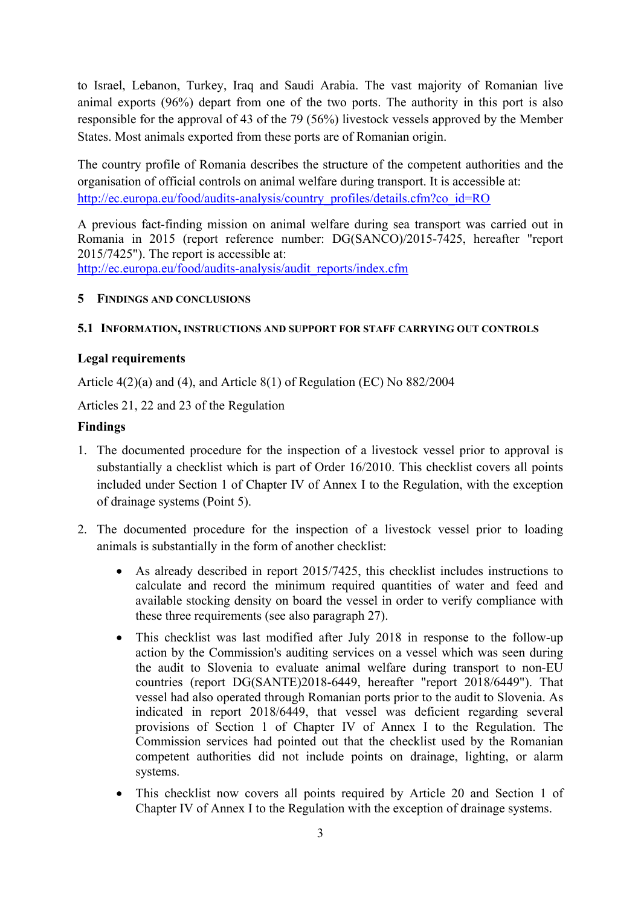to Israel, Lebanon, Turkey, Iraq and Saudi Arabia. The vast majority of Romanian live animal exports (96%) depart from one of the two ports. The authority in this port is also responsible for the approval of 43 of the 79 (56%) livestock vessels approved by the Member States. Most animals exported from these ports are of Romanian origin.

The country profile of Romania describes the structure of the competent authorities and the organisation of official controls on animal welfare during transport. It is accessible at: [http://ec.europa.eu/food/audits-analysis/country\\_profiles/details.cfm?co\\_id=RO](http://ec.europa.eu/food/audits-analysis/country_profiles/details.cfm?co_id=RO)

A previous fact-finding mission on animal welfare during sea transport was carried out in Romania in 2015 (report reference number: DG(SANCO)/2015-7425, hereafter "report 2015/7425"). The report is accessible at: [http://ec.europa.eu/food/audits-analysis/audit\\_reports/index.cfm](http://ec.europa.eu/food/audits-analysis/audit_reports/index.cfm)

#### <span id="page-6-0"></span>**5 FINDINGS AND CONCLUSIONS**

#### <span id="page-6-1"></span>**5.1 INFORMATION, INSTRUCTIONS AND SUPPORT FOR STAFF CARRYING OUT CONTROLS**

#### **Legal requirements**

Article 4(2)(a) and (4), and Article 8(1) of Regulation (EC) No 882/2004

Articles 21, 22 and 23 of the Regulation

#### **Findings**

- <span id="page-6-3"></span>1. The documented procedure for the inspection of a livestock vessel prior to approval is substantially a checklist which is part of Order 16/2010. This checklist covers all points included under Section 1 of Chapter IV of Annex I to the Regulation, with the exception of drainage systems (Point 5).
- <span id="page-6-2"></span>2. The documented procedure for the inspection of a livestock vessel prior to loading animals is substantially in the form of another checklist:
	- As already described in report 2015/7425, this checklist includes instructions to calculate and record the minimum required quantities of water and feed and available stocking density on board the vessel in order to verify compliance with these three requirements (see also paragraph [27\)](#page-11-0).
	- This checklist was last modified after July 2018 in response to the follow-up action by the Commission's auditing services on a vessel which was seen during the audit to Slovenia to evaluate animal welfare during transport to non-EU countries (report DG(SANTE)2018-6449, hereafter "report 2018/6449"). That vessel had also operated through Romanian ports prior to the audit to Slovenia. As indicated in report 2018/6449, that vessel was deficient regarding several provisions of Section 1 of Chapter IV of Annex I to the Regulation. The Commission services had pointed out that the checklist used by the Romanian competent authorities did not include points on drainage, lighting, or alarm systems.
	- This checklist now covers all points required by Article 20 and Section 1 of Chapter IV of Annex I to the Regulation with the exception of drainage systems.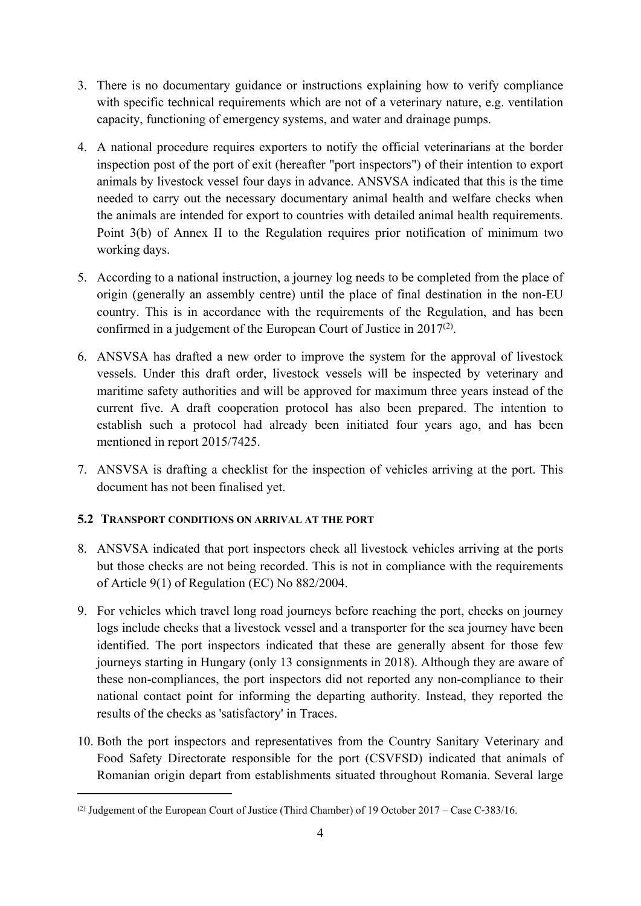- 3. There is no documentary guidance or instructions explaining how to verify compliance with specific technical requirements which are not of a veterinary nature, e.g. ventilation capacity, functioning of emergency systems, and water and drainage pumps.
- 4. A national procedure requires exporters to notify the official veterinarians at the border inspection post of the port of exit (hereafter "port inspectors") of their intention to export animals by livestock vessel four days in advance. ANSVSA indicated that this is the time needed to carry out the necessary documentary animal health and welfare checks when the animals are intended for export to countries with detailed animal health requirements. Point 3(b) of Annex II to the Regulation requires prior notification of minimum two working days.
- 5. According to a national instruction, a journey log needs to be completed from the place of origin (generally an assembly centre) until the place of final destination in the non-EU country. This is in accordance with the requirements of the Regulation, and has been confirmed in a judgement of the European Court of Justice in  $2017<sup>(2)</sup>$ .
- 6. ANSVSA has drafted a new order to improve the system for the approval of livestock vessels. Under this draft order, livestock vessels will be inspected by veterinary and maritime safety authorities and will be approved for maximum three years instead of the current five. A draft cooperation protocol has also been prepared. The intention to establish such a protocol had already been initiated four years ago, and has been mentioned in report 2015/7425.
- 7. ANSVSA is drafting a checklist for the inspection of vehicles arriving at the port. This document has not been finalised yet.

#### <span id="page-7-0"></span>**5.2 TRANSPORT CONDITIONS ON ARRIVAL AT THE PORT**

- 8. ANSVSA indicated that port inspectors check all livestock vehicles arriving at the ports but those checks are not being recorded. This is not in compliance with the requirements of Article 9(1) of Regulation (EC) No 882/2004.
- 9. For vehicles which travel long road journeys before reaching the port, checks on journey logs include checks that a livestock vessel and a transporter for the sea journey have been identified. The port inspectors indicated that these are generally absent for those few journeys starting in Hungary (only 13 consignments in 2018). Although they are aware of these non-compliances, the port inspectors did not reported any non-compliance to their national contact point for informing the departing authority. Instead, they reported the results of the checks as 'satisfactory' in Traces.
- 10. Both the port inspectors and representatives from the Country Sanitary Veterinary and Food Safety Directorate responsible for the port (CSVFSD) indicated that animals of Romanian origin depart from establishments situated throughout Romania. Several large

<sup>(2)</sup> Judgement of the European Court of Justice (Third Chamber) of 19 October 2017 – Case C‑383/16.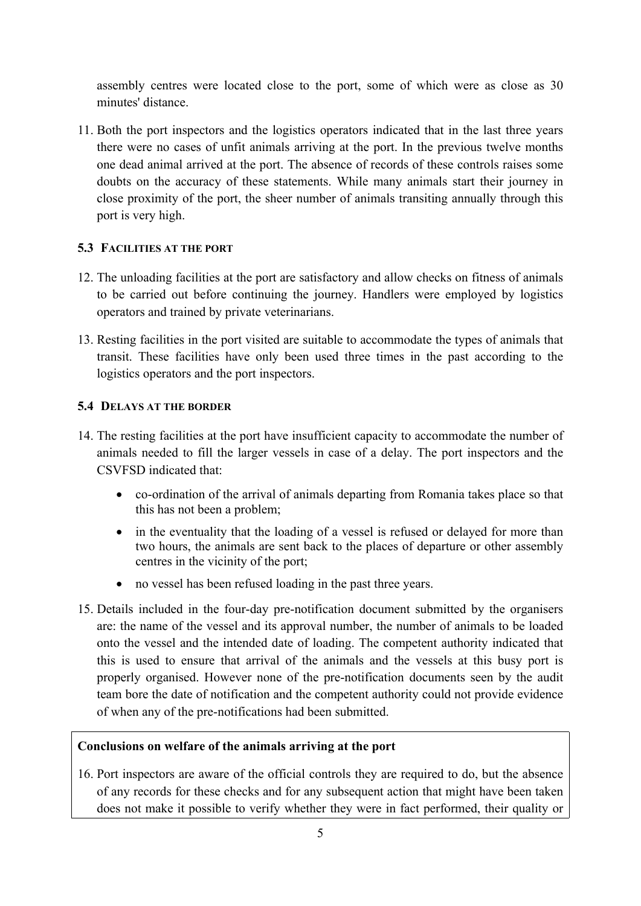assembly centres were located close to the port, some of which were as close as 30 minutes' distance.

11. Both the port inspectors and the logistics operators indicated that in the last three years there were no cases of unfit animals arriving at the port. In the previous twelve months one dead animal arrived at the port. The absence of records of these controls raises some doubts on the accuracy of these statements. While many animals start their journey in close proximity of the port, the sheer number of animals transiting annually through this port is very high.

#### <span id="page-8-0"></span>**5.3 FACILITIES AT THE PORT**

- 12. The unloading facilities at the port are satisfactory and allow checks on fitness of animals to be carried out before continuing the journey. Handlers were employed by logistics operators and trained by private veterinarians.
- 13. Resting facilities in the port visited are suitable to accommodate the types of animals that transit. These facilities have only been used three times in the past according to the logistics operators and the port inspectors.

#### <span id="page-8-1"></span>**5.4 DELAYS AT THE BORDER**

- 14. The resting facilities at the port have insufficient capacity to accommodate the number of animals needed to fill the larger vessels in case of a delay. The port inspectors and the CSVFSD indicated that:
	- co-ordination of the arrival of animals departing from Romania takes place so that this has not been a problem;
	- in the eventuality that the loading of a vessel is refused or delayed for more than two hours, the animals are sent back to the places of departure or other assembly centres in the vicinity of the port;
	- no vessel has been refused loading in the past three years.
- 15. Details included in the four-day pre-notification document submitted by the organisers are: the name of the vessel and its approval number, the number of animals to be loaded onto the vessel and the intended date of loading. The competent authority indicated that this is used to ensure that arrival of the animals and the vessels at this busy port is properly organised. However none of the pre-notification documents seen by the audit team bore the date of notification and the competent authority could not provide evidence of when any of the pre-notifications had been submitted.

#### **Conclusions on welfare of the animals arriving at the port**

16. Port inspectors are aware of the official controls they are required to do, but the absence of any records for these checks and for any subsequent action that might have been taken does not make it possible to verify whether they were in fact performed, their quality or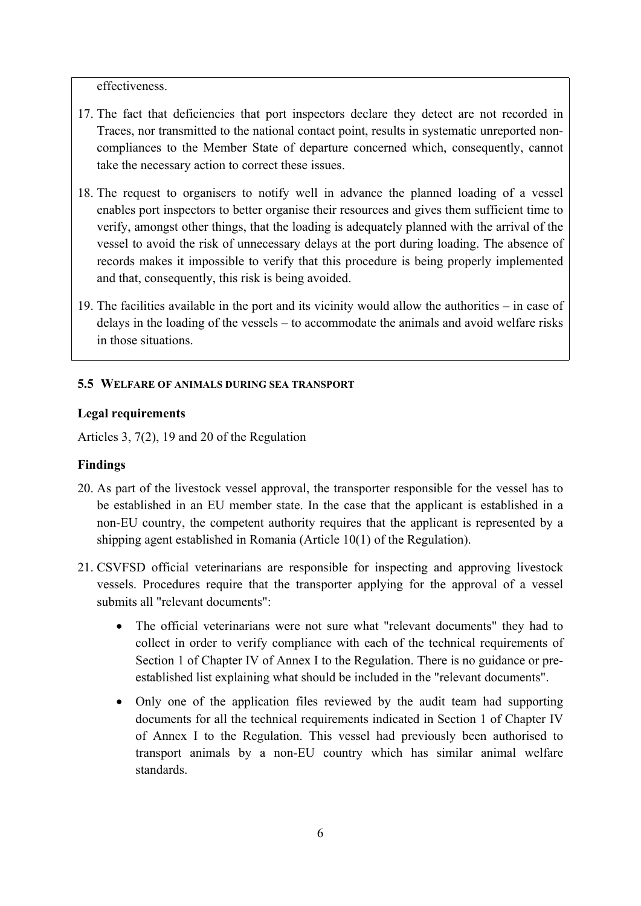effectiveness.

- 17. The fact that deficiencies that port inspectors declare they detect are not recorded in Traces, nor transmitted to the national contact point, results in systematic unreported noncompliances to the Member State of departure concerned which, consequently, cannot take the necessary action to correct these issues.
- 18. The request to organisers to notify well in advance the planned loading of a vessel enables port inspectors to better organise their resources and gives them sufficient time to verify, amongst other things, that the loading is adequately planned with the arrival of the vessel to avoid the risk of unnecessary delays at the port during loading. The absence of records makes it impossible to verify that this procedure is being properly implemented and that, consequently, this risk is being avoided.
- 19. The facilities available in the port and its vicinity would allow the authorities in case of delays in the loading of the vessels – to accommodate the animals and avoid welfare risks in those situations.

#### <span id="page-9-0"></span>**5.5 WELFARE OF ANIMALS DURING SEA TRANSPORT**

#### **Legal requirements**

Articles 3, 7(2), 19 and 20 of the Regulation

#### **Findings**

- 20. As part of the livestock vessel approval, the transporter responsible for the vessel has to be established in an EU member state. In the case that the applicant is established in a non-EU country, the competent authority requires that the applicant is represented by a shipping agent established in Romania (Article 10(1) of the Regulation).
- 21. CSVFSD official veterinarians are responsible for inspecting and approving livestock vessels. Procedures require that the transporter applying for the approval of a vessel submits all "relevant documents":
	- The official veterinarians were not sure what "relevant documents" they had to collect in order to verify compliance with each of the technical requirements of Section 1 of Chapter IV of Annex I to the Regulation. There is no guidance or preestablished list explaining what should be included in the "relevant documents".
	- Only one of the application files reviewed by the audit team had supporting documents for all the technical requirements indicated in Section 1 of Chapter IV of Annex I to the Regulation. This vessel had previously been authorised to transport animals by a non-EU country which has similar animal welfare standards.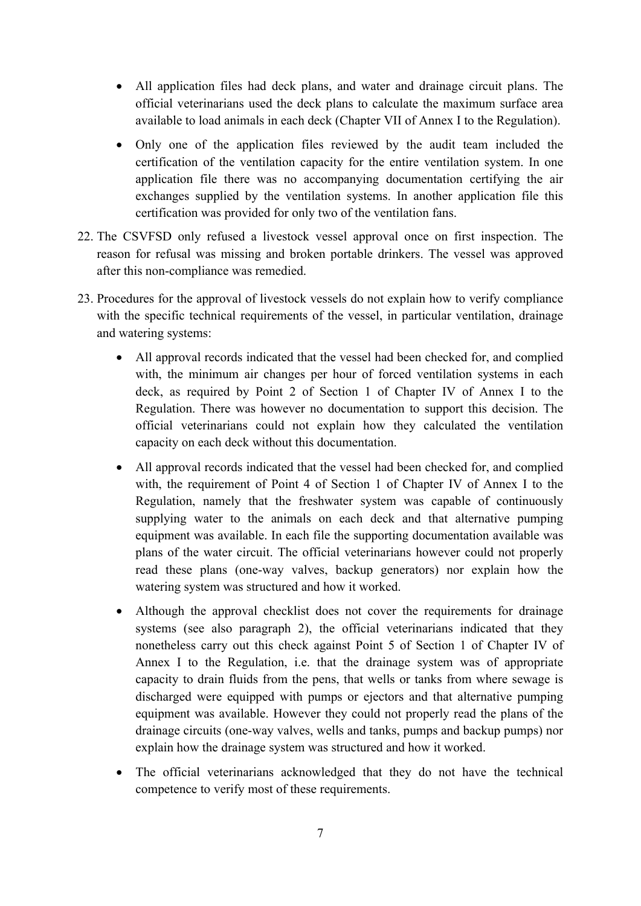- All application files had deck plans, and water and drainage circuit plans. The official veterinarians used the deck plans to calculate the maximum surface area available to load animals in each deck (Chapter VII of Annex I to the Regulation).
- Only one of the application files reviewed by the audit team included the certification of the ventilation capacity for the entire ventilation system. In one application file there was no accompanying documentation certifying the air exchanges supplied by the ventilation systems. In another application file this certification was provided for only two of the ventilation fans.
- 22. The CSVFSD only refused a livestock vessel approval once on first inspection. The reason for refusal was missing and broken portable drinkers. The vessel was approved after this non-compliance was remedied.
- 23. Procedures for the approval of livestock vessels do not explain how to verify compliance with the specific technical requirements of the vessel, in particular ventilation, drainage and watering systems:
	- All approval records indicated that the vessel had been checked for, and complied with, the minimum air changes per hour of forced ventilation systems in each deck, as required by Point 2 of Section 1 of Chapter IV of Annex I to the Regulation. There was however no documentation to support this decision. The official veterinarians could not explain how they calculated the ventilation capacity on each deck without this documentation.
	- All approval records indicated that the vessel had been checked for, and complied with, the requirement of Point 4 of Section 1 of Chapter IV of Annex I to the Regulation, namely that the freshwater system was capable of continuously supplying water to the animals on each deck and that alternative pumping equipment was available. In each file the supporting documentation available was plans of the water circuit. The official veterinarians however could not properly read these plans (one-way valves, backup generators) nor explain how the watering system was structured and how it worked.
	- Although the approval checklist does not cover the requirements for drainage systems (see also paragraph [2\)](#page-6-2), the official veterinarians indicated that they nonetheless carry out this check against Point 5 of Section 1 of Chapter IV of Annex I to the Regulation, i.e. that the drainage system was of appropriate capacity to drain fluids from the pens, that wells or tanks from where sewage is discharged were equipped with pumps or ejectors and that alternative pumping equipment was available. However they could not properly read the plans of the drainage circuits (one-way valves, wells and tanks, pumps and backup pumps) nor explain how the drainage system was structured and how it worked.
	- The official veterinarians acknowledged that they do not have the technical competence to verify most of these requirements.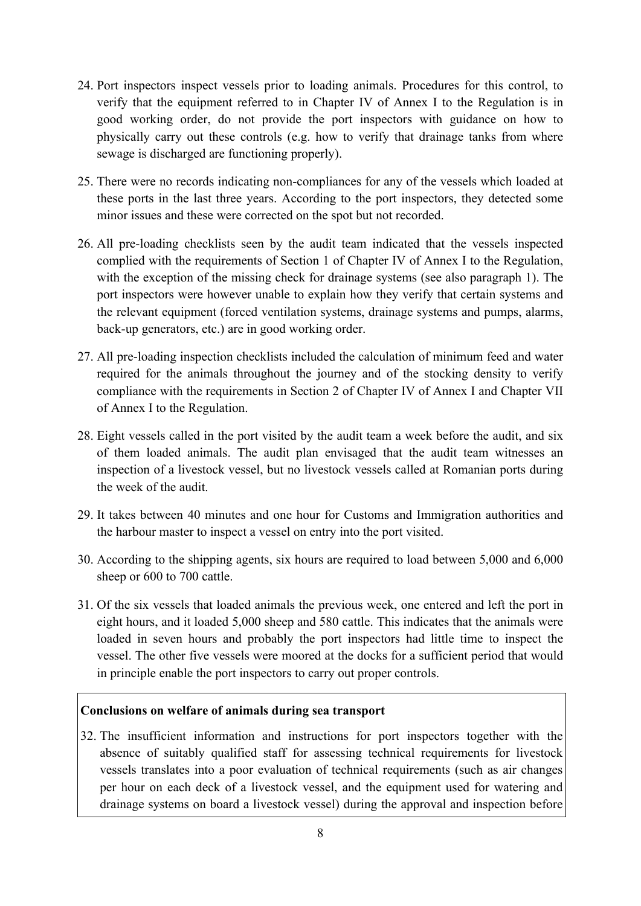- 24. Port inspectors inspect vessels prior to loading animals. Procedures for this control, to verify that the equipment referred to in Chapter IV of Annex I to the Regulation is in good working order, do not provide the port inspectors with guidance on how to physically carry out these controls (e.g. how to verify that drainage tanks from where sewage is discharged are functioning properly).
- 25. There were no records indicating non-compliances for any of the vessels which loaded at these ports in the last three years. According to the port inspectors, they detected some minor issues and these were corrected on the spot but not recorded.
- 26. All pre-loading checklists seen by the audit team indicated that the vessels inspected complied with the requirements of Section 1 of Chapter IV of Annex I to the Regulation, with the exception of the missing check for drainage systems (see also paragraph [1](#page-6-3)). The port inspectors were however unable to explain how they verify that certain systems and the relevant equipment (forced ventilation systems, drainage systems and pumps, alarms, back-up generators, etc.) are in good working order.
- <span id="page-11-0"></span>27. All pre-loading inspection checklists included the calculation of minimum feed and water required for the animals throughout the journey and of the stocking density to verify compliance with the requirements in Section 2 of Chapter IV of Annex I and Chapter VII of Annex I to the Regulation.
- 28. Eight vessels called in the port visited by the audit team a week before the audit, and six of them loaded animals. The audit plan envisaged that the audit team witnesses an inspection of a livestock vessel, but no livestock vessels called at Romanian ports during the week of the audit.
- 29. It takes between 40 minutes and one hour for Customs and Immigration authorities and the harbour master to inspect a vessel on entry into the port visited.
- 30. According to the shipping agents, six hours are required to load between 5,000 and 6,000 sheep or 600 to 700 cattle.
- 31. Of the six vessels that loaded animals the previous week, one entered and left the port in eight hours, and it loaded 5,000 sheep and 580 cattle. This indicates that the animals were loaded in seven hours and probably the port inspectors had little time to inspect the vessel. The other five vessels were moored at the docks for a sufficient period that would in principle enable the port inspectors to carry out proper controls.

#### **Conclusions on welfare of animals during sea transport**

32. The insufficient information and instructions for port inspectors together with the absence of suitably qualified staff for assessing technical requirements for livestock vessels translates into a poor evaluation of technical requirements (such as air changes per hour on each deck of a livestock vessel, and the equipment used for watering and drainage systems on board a livestock vessel) during the approval and inspection before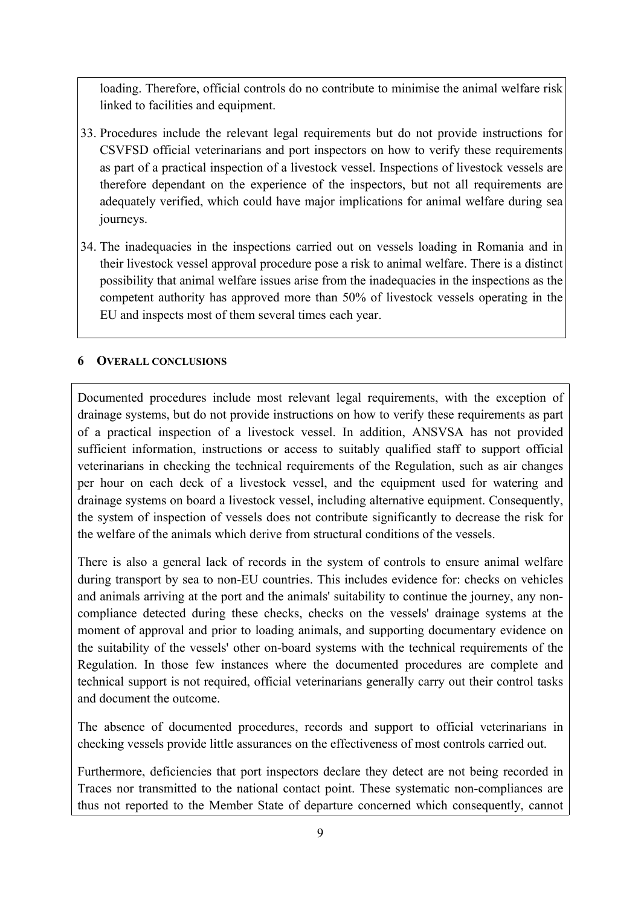loading. Therefore, official controls do no contribute to minimise the animal welfare risk linked to facilities and equipment.

- 33. Procedures include the relevant legal requirements but do not provide instructions for CSVFSD official veterinarians and port inspectors on how to verify these requirements as part of a practical inspection of a livestock vessel. Inspections of livestock vessels are therefore dependant on the experience of the inspectors, but not all requirements are adequately verified, which could have major implications for animal welfare during sea journeys.
- 34. The inadequacies in the inspections carried out on vessels loading in Romania and in their livestock vessel approval procedure pose a risk to animal welfare. There is a distinct possibility that animal welfare issues arise from the inadequacies in the inspections as the competent authority has approved more than 50% of livestock vessels operating in the EU and inspects most of them several times each year.

#### <span id="page-12-0"></span>**6 OVERALL CONCLUSIONS**

Documented procedures include most relevant legal requirements, with the exception of drainage systems, but do not provide instructions on how to verify these requirements as part of a practical inspection of a livestock vessel. In addition, ANSVSA has not provided sufficient information, instructions or access to suitably qualified staff to support official veterinarians in checking the technical requirements of the Regulation, such as air changes per hour on each deck of a livestock vessel, and the equipment used for watering and drainage systems on board a livestock vessel, including alternative equipment. Consequently, the system of inspection of vessels does not contribute significantly to decrease the risk for the welfare of the animals which derive from structural conditions of the vessels.

There is also a general lack of records in the system of controls to ensure animal welfare during transport by sea to non-EU countries. This includes evidence for: checks on vehicles and animals arriving at the port and the animals' suitability to continue the journey, any noncompliance detected during these checks, checks on the vessels' drainage systems at the moment of approval and prior to loading animals, and supporting documentary evidence on the suitability of the vessels' other on-board systems with the technical requirements of the Regulation. In those few instances where the documented procedures are complete and technical support is not required, official veterinarians generally carry out their control tasks and document the outcome.

The absence of documented procedures, records and support to official veterinarians in checking vessels provide little assurances on the effectiveness of most controls carried out.

Furthermore, deficiencies that port inspectors declare they detect are not being recorded in Traces nor transmitted to the national contact point. These systematic non-compliances are thus not reported to the Member State of departure concerned which consequently, cannot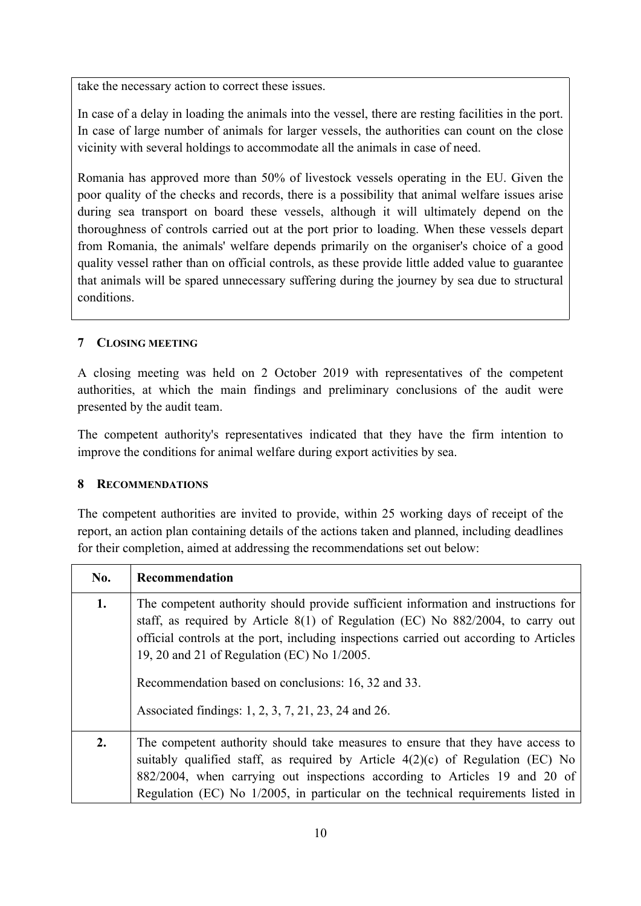take the necessary action to correct these issues.

In case of a delay in loading the animals into the vessel, there are resting facilities in the port. In case of large number of animals for larger vessels, the authorities can count on the close vicinity with several holdings to accommodate all the animals in case of need.

Romania has approved more than 50% of livestock vessels operating in the EU. Given the poor quality of the checks and records, there is a possibility that animal welfare issues arise during sea transport on board these vessels, although it will ultimately depend on the thoroughness of controls carried out at the port prior to loading. When these vessels depart from Romania, the animals' welfare depends primarily on the organiser's choice of a good quality vessel rather than on official controls, as these provide little added value to guarantee that animals will be spared unnecessary suffering during the journey by sea due to structural conditions.

## <span id="page-13-0"></span>**7 CLOSING MEETING**

A closing meeting was held on 2 October 2019 with representatives of the competent authorities, at which the main findings and preliminary conclusions of the audit were presented by the audit team.

The competent authority's representatives indicated that they have the firm intention to improve the conditions for animal welfare during export activities by sea.

#### <span id="page-13-1"></span>**8 RECOMMENDATIONS**

The competent authorities are invited to provide, within 25 working days of receipt of the report, an action plan containing details of the actions taken and planned, including deadlines for their completion, aimed at addressing the recommendations set out below:

| No. | Recommendation                                                                                                                                                                                                                                                                                                                                                                                                               |
|-----|------------------------------------------------------------------------------------------------------------------------------------------------------------------------------------------------------------------------------------------------------------------------------------------------------------------------------------------------------------------------------------------------------------------------------|
| 1.  | The competent authority should provide sufficient information and instructions for<br>staff, as required by Article 8(1) of Regulation (EC) No 882/2004, to carry out<br>official controls at the port, including inspections carried out according to Articles<br>19, 20 and 21 of Regulation (EC) No 1/2005.<br>Recommendation based on conclusions: 16, 32 and 33.<br>Associated findings: 1, 2, 3, 7, 21, 23, 24 and 26. |
| 2.  | The competent authority should take measures to ensure that they have access to<br>suitably qualified staff, as required by Article $4(2)(c)$ of Regulation (EC) No<br>882/2004, when carrying out inspections according to Articles 19 and 20 of<br>Regulation (EC) No 1/2005, in particular on the technical requirements listed in                                                                                        |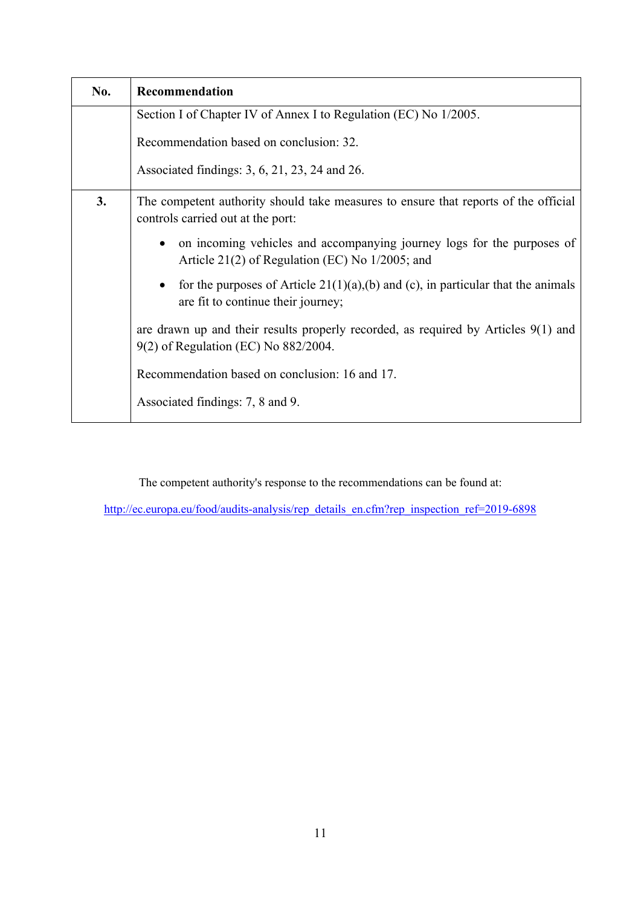| No. | Recommendation                                                                                                               |
|-----|------------------------------------------------------------------------------------------------------------------------------|
|     | Section I of Chapter IV of Annex I to Regulation (EC) No 1/2005.                                                             |
|     | Recommendation based on conclusion: 32.                                                                                      |
|     | Associated findings: 3, 6, 21, 23, 24 and 26.                                                                                |
| 3.  | The competent authority should take measures to ensure that reports of the official<br>controls carried out at the port:     |
|     | on incoming vehicles and accompanying journey logs for the purposes of<br>Article 21(2) of Regulation (EC) No $1/2005$ ; and |
|     | for the purposes of Article $21(1)(a)$ , (b) and (c), in particular that the animals<br>are fit to continue their journey;   |
|     | are drawn up and their results properly recorded, as required by Articles 9(1) and<br>9(2) of Regulation (EC) No 882/2004.   |
|     | Recommendation based on conclusion: 16 and 17.                                                                               |
|     | Associated findings: 7, 8 and 9.                                                                                             |

The competent authority's response to the recommendations can be found at:

[http://ec.europa.eu/food/audits-analysis/rep\\_details\\_en.cfm?rep\\_inspection\\_ref=2019-6898](http://ec.europa.eu/food/audits-analysis/rep_details_en.cfm?rep_inspection_ref=2019-6898)